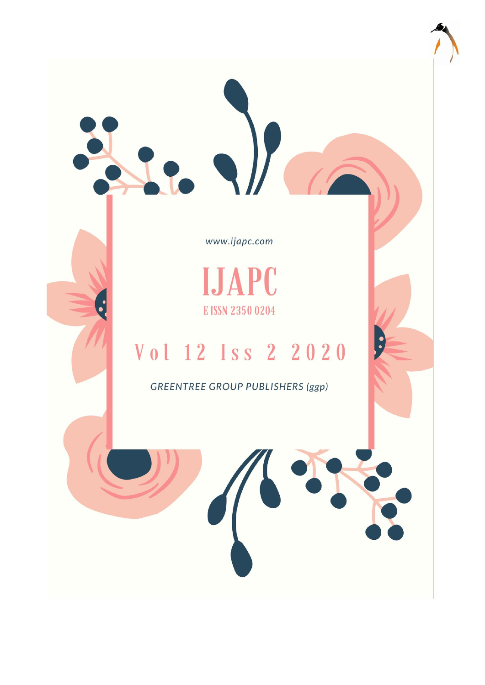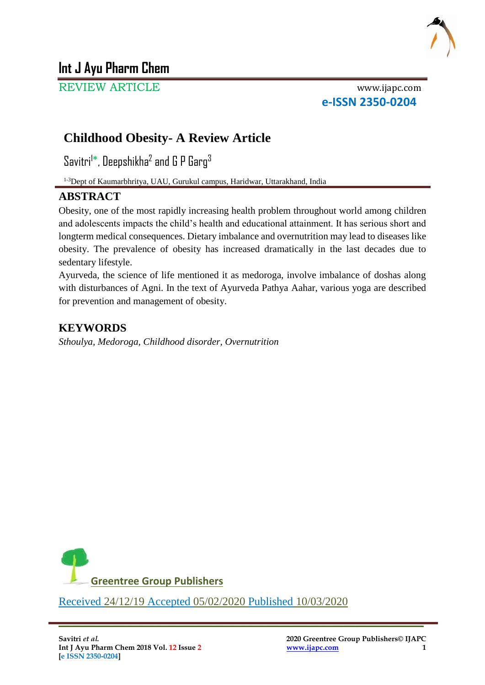

# **Int J Ayu Pharm Chem**

REVIEW ARTICLE www.ijapc.com

**e-ISSN 2350-0204**

# **Childhood Obesity- A Review Article**

Savitri $^{\text{!}*}$ , Deepshikha $^{\text{2}}$  and G P Garg $^{\text{3}}$ 

1-3Dept of Kaumarbhritya, UAU, Gurukul campus, Haridwar, Uttarakhand, India

## **ABSTRACT**

Obesity, one of the most rapidly increasing health problem throughout world among children and adolescents impacts the child's health and educational attainment. It has serious short and longterm medical consequences. Dietary imbalance and overnutrition may lead to diseases like obesity. The prevalence of obesity has increased dramatically in the last decades due to sedentary lifestyle.

Ayurveda, the science of life mentioned it as medoroga, involve imbalance of doshas along with disturbances of Agni. In the text of Ayurveda Pathya Aahar, various yoga are described for prevention and management of obesity.

## **KEYWORDS**

*Sthoulya, Medoroga, Childhood disorder, Overnutrition*



\_\_\_\_\_\_\_\_\_\_\_\_\_\_\_\_\_\_\_\_\_\_\_\_\_\_\_\_\_\_\_\_\_\_\_\_\_\_\_\_\_\_\_\_\_\_\_\_\_\_\_\_\_\_\_\_\_\_\_\_\_\_\_\_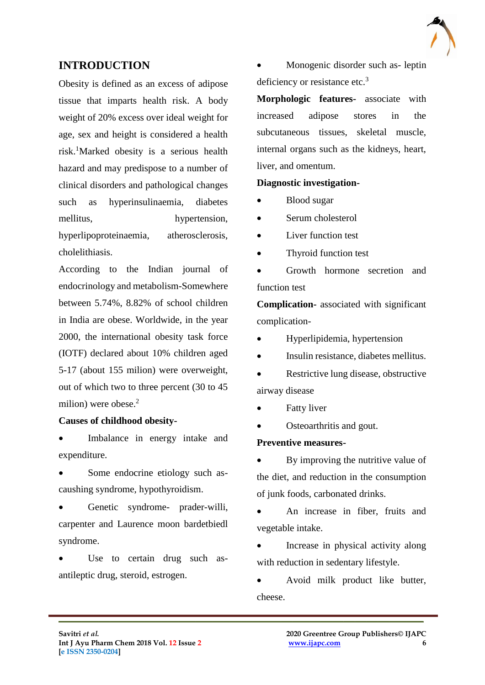

## **INTRODUCTION**

Obesity is defined as an excess of adipose tissue that imparts health risk. A body weight of 20% excess over ideal weight for age, sex and height is considered a health risk.<sup>1</sup>Marked obesity is a serious health hazard and may predispose to a number of clinical disorders and pathological changes such as hyperinsulinaemia, diabetes mellitus, hypertension, hyperlipoproteinaemia, atherosclerosis, cholelithiasis.

According to the Indian journal of endocrinology and metabolism-Somewhere between 5.74%, 8.82% of school children in India are obese. Worldwide, in the year 2000, the international obesity task force (IOTF) declared about 10% children aged 5-17 (about 155 milion) were overweight, out of which two to three percent (30 to 45 milion) were obese. $2$ 

## **Causes of childhood obesity-**

 Imbalance in energy intake and expenditure.

- Some endocrine etiology such ascaushing syndrome, hypothyroidism.
- Genetic syndrome- prader-willi, carpenter and Laurence moon bardetbiedl syndrome.
- Use to certain drug such asantileptic drug, steroid, estrogen.

 Monogenic disorder such as- leptin deficiency or resistance etc.<sup>3</sup>

**Morphologic features-** associate with increased adipose stores in the subcutaneous tissues, skeletal muscle, internal organs such as the kidneys, heart, liver, and omentum.

## **Diagnostic investigation-**

- Blood sugar
- Serum cholesterol
- Liver function test
- Thyroid function test

• Growth hormone secretion and function test

**Complication-** associated with significant complication-

- Hyperlipidemia, hypertension
- Insulin resistance, diabetes mellitus.
- Restrictive lung disease, obstructive airway disease
- Fatty liver

 $\mathcal{L}_\mathcal{L}$  , and the contribution of the contribution of the contribution of the contribution of the contribution of the contribution of the contribution of the contribution of the contribution of the contribution of

Osteoarthritis and gout.

#### **Preventive measures-**

 By improving the nutritive value of the diet, and reduction in the consumption of junk foods, carbonated drinks.

 An increase in fiber, fruits and vegetable intake.

 Increase in physical activity along with reduction in sedentary lifestyle.

 Avoid milk product like butter, cheese.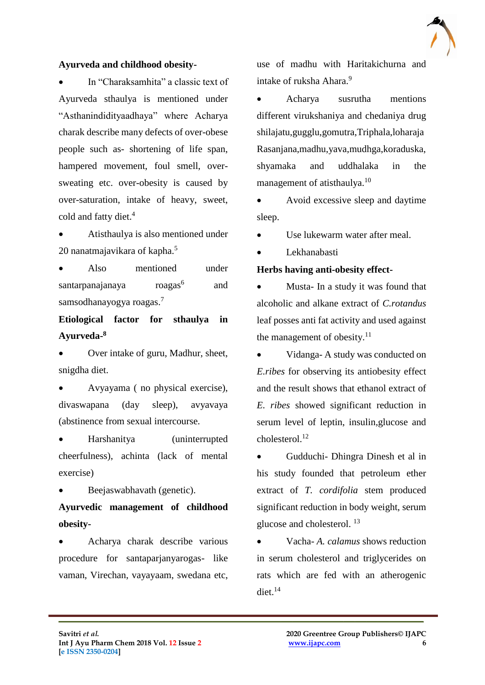

#### **Ayurveda and childhood obesity-**

 In "Charaksamhita" a classic text of Ayurveda sthaulya is mentioned under "Asthanindidityaadhaya" where Acharya charak describe many defects of over-obese people such as- shortening of life span, hampered movement, foul smell, oversweating etc. over-obesity is caused by over-saturation, intake of heavy, sweet, cold and fatty diet.<sup>4</sup>

 Atisthaulya is also mentioned under 20 nanatmajavikara of kapha.<sup>5</sup>

 Also mentioned under santarpanajanaya roagas<sup>6</sup> and samsodhanayogya roagas.<sup>7</sup>

**Etiological factor for sthaulya in Ayurveda-8**

 Over intake of guru, Madhur, sheet, snigdha diet.

 Avyayama ( no physical exercise), divaswapana (day sleep), avyavaya (abstinence from sexual intercourse.

 Harshanitya (uninterrupted cheerfulness), achinta (lack of mental exercise)

Beejaswabhavath (genetic).

**Ayurvedic management of childhood obesity-**

 Acharya charak describe various procedure for santaparjanyarogas- like vaman, Virechan, vayayaam, swedana etc,

 $\mathcal{L}_\mathcal{L}$  , and the contribution of the contribution of the contribution of the contribution of the contribution of the contribution of the contribution of the contribution of the contribution of the contribution of

use of madhu with Haritakichurna and intake of ruksha Ahara.<sup>9</sup>

 Acharya susrutha mentions different virukshaniya and chedaniya drug shilajatu,gugglu,gomutra,Triphala,loharaja Rasanjana,madhu,yava,mudhga,koraduska, shyamaka and uddhalaka in the management of atisthaulya.<sup>10</sup>

 Avoid excessive sleep and daytime sleep.

Use lukewarm water after meal.

Lekhanabasti

#### **Herbs having anti-obesity effect-**

 Musta- In a study it was found that alcoholic and alkane extract of *C.rotandus* leaf posses anti fat activity and used against the management of obesity. $11$ 

 Vidanga- A study was conducted on *E.ribes* for observing its antiobesity effect and the result shows that ethanol extract of *E. ribes* showed significant reduction in serum level of leptin, insulin,glucose and  $cholesterol<sup>12</sup>$ 

 Gudduchi- Dhingra Dinesh et al in his study founded that petroleum ether extract of *T. cordifolia* stem produced significant reduction in body weight, serum glucose and cholesterol. <sup>13</sup>

 Vacha- *A. calamus* shows reduction in serum cholesterol and triglycerides on rats which are fed with an atherogenic diet. $^{14}$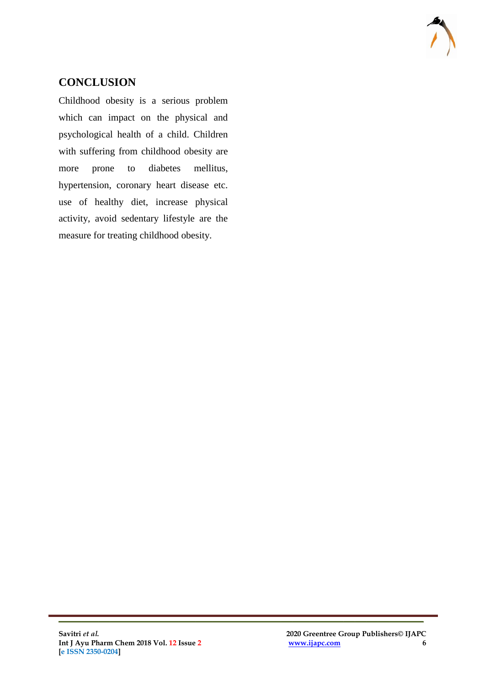

# **CONCLUSION**

Childhood obesity is a serious problem which can impact on the physical and psychological health of a child. Children with suffering from childhood obesity are more prone to diabetes mellitus, hypertension, coronary heart disease etc. use of healthy diet, increase physical activity, avoid sedentary lifestyle are the measure for treating childhood obesity.

 $\mathcal{L}_\mathcal{L}$  , and the contribution of the contribution of the contribution of the contribution of the contribution of the contribution of the contribution of the contribution of the contribution of the contribution of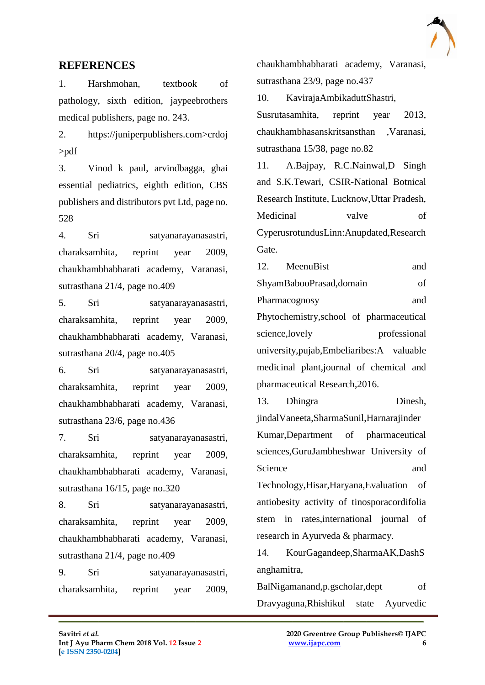

## **REFERENCES**

1. Harshmohan, textbook of pathology, sixth edition, jaypeebrothers medical publishers, page no. 243.

2. https://juniperpublishers.com>crdoj >pdf

3. Vinod k paul, arvindbagga, ghai essential pediatrics, eighth edition, CBS publishers and distributors pvt Ltd, page no. 528

4. Sri satyanarayanasastri, charaksamhita, reprint year 2009, chaukhambhabharati academy, Varanasi, sutrasthana 21/4, page no.409

5. Sri satyanarayanasastri, charaksamhita, reprint year 2009, chaukhambhabharati academy, Varanasi, sutrasthana 20/4, page no.405

6. Sri satyanarayanasastri, charaksamhita, reprint year 2009, chaukhambhabharati academy, Varanasi, sutrasthana 23/6, page no.436

7. Sri satyanarayanasastri, charaksamhita, reprint year 2009, chaukhambhabharati academy, Varanasi, sutrasthana 16/15, page no.320

8. Sri satyanarayanasastri, charaksamhita, reprint year 2009, chaukhambhabharati academy, Varanasi, sutrasthana 21/4, page no.409

9. Sri satyanarayanasastri, charaksamhita, reprint year 2009,

 $\mathcal{L}_\mathcal{L}$  , and the contribution of the contribution of the contribution of the contribution of the contribution of the contribution of the contribution of the contribution of the contribution of the contribution of

chaukhambhabharati academy, Varanasi, sutrasthana 23/9, page no.437

10. KavirajaAmbikaduttShastri, Susrutasamhita, reprint year 2013, chaukhambhasanskritsansthan ,Varanasi, sutrasthana 15/38, page no.82

11. A.Bajpay, R.C.Nainwal,D Singh and S.K.Tewari, CSIR-National Botnical Research Institute, Lucknow,Uttar Pradesh, Medicinal valve of CyperusrotundusLinn:Anupdated,Research Gate.

12. MeenuBist and ShyamBabooPrasad,domain of Pharmacognosy and Phytochemistry,school of pharmaceutical science, lovely professional university,pujab,Embeliaribes:A valuable medicinal plant,journal of chemical and pharmaceutical Research,2016.

13. Dhingra Dinesh, jindalVaneeta,SharmaSunil,Harnarajinder Kumar,Department of pharmaceutical sciences,GuruJambheshwar University of Science and Technology,Hisar,Haryana,Evaluation of antiobesity activity of tinosporacordifolia stem in rates,international journal of research in Ayurveda & pharmacy.

14. KourGagandeep,SharmaAK,DashS anghamitra,

BalNigamanand,p.gscholar,dept of Dravyaguna,Rhishikul state Ayurvedic